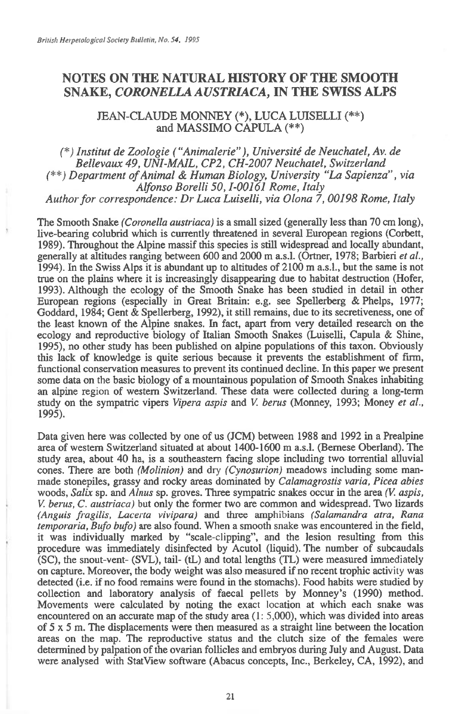## **NOTES ON THE NATURAL HISTORY OF THE SMOOTH SNAKE,** *CORONELLA AUSTRIACA,* **IN THE SWISS ALPS**

JEAN-CLAUDE MONNEY (\*), LUCA LUISELLI (\*\*) and MASSIMO CAPULA (\*\*)

*(\*) Institut de Zoologie ("Animalerie"), Université de Neuchatel, Av. de Bellevaux 49, UNI-MAIL, CP2, CH-2007 Neuchatel, Switzerland (\*\*) Department of Animal & Human Biology, University "La Sapienza", via Alfonso Borelli 50, 1-00161 Rome, Italy Author for cm respondence: Dr Luca Luiselli, via Olona 7, 00198 Rome, Italy* 

The Smooth Snake *(Coronella austriaca) is* a small sized (generally less than 70 cm long), live-bearing colubrid which is currently threatened in several European regions (Corbett, 1989). Throughout the Alpine massif this species is still widespread and locally abundant, generally at altitudes ranging between 600 and 2000 m a.s.l. (Ortner, 1978; Barbieri *et al.,*  1994). In the Swiss Alps it is abundant up to altitudes of 2100 m a.s.l., but the same is not true on the plains where it is increasingly disappearing due to habitat destruction (Hofer, 1993). Although the ecology of the Smooth Snake has been studied in detail in other European regions (especially in Great Britain: e.g. see Spellerberg & Phelps, 1977; Goddard, 1984; Gent & Spellerberg, 1992), it still remains, due to its secretiveness, one of the least known of the Alpine snakes. In fact, apart from very detailed research on the ecology and reproductive biology of Italian Smooth Snakes (Luiselli, Capula & Shine, 1995), no other study has been published on alpine populations of this taxon. Obviously this lack of knowledge is quite serious because it prevents the establishment of firm, functional conservation measures to prevent its continued decline. In this paper we present some data on the basic biology of a mountainous population of Smooth Snakes inhabiting an alpine region of western Switzerland. These data were collected during a long-term study on the sympatric vipers *Vipera aspis* and *V. berus* (Monney, 1993; Money *et al.,*  1995).

Data given here was collected by one of us (JCM) between 1988 and 1992 in a Prealpine area of western Switzerland situated at about 1400-1600 m a.s.l. (Bernese Oberland). The study area, about 40 ha, is a southeastern facing slope including two torrential alluvial cones. There are both *(Molinion)* and dry *(Cynosurion)* meadows including some manmade stonepiles, grassy and rocky areas dominated by *Calamagrostis varia, Picea abies*  woods, *Salix* sp. and *Alnus* sp. groves. Three sympatric snakes occur in the area *(V. aspis, V. berus, C. austriaca)* but only the former two are common and widespread. Two lizards *(Anguis fragilis, Lacerta vivipara)* and three amphibians *(Salamandra atra, Rana temporaria, Bufo bufo)* are also found. When a smooth snake was encountered in the field, it was individually marked by "scale-clipping", and the lesion resulting from this procedure was immediately disinfected by Acutol (liquid). The number of subcaudals (SC), the snout-vent- (SVL), tail- (tL) and total lengths (TL) were measured immediately on capture. Moreover, the body weight was also measured if no recent trophic activity was detected (i.e. if no food remains were found in the stomachs). Food habits were studied by collection and laboratory analysis of faecal pellets by Monney's (1990) method. Movements were calculated by noting the exact location at which each snake was encountered on an accurate map of the study area (1: 5,000), which was divided into areas of  $5 \times 5$  m. The displacements were then measured as a straight line between the location areas on the map. The reproductive status and the clutch size of the females were determined by palpation of the ovarian follicles and embryos during July and August. Data were analysed with StatView software (Abacus concepts, Inc., Berkeley, CA, 1992), and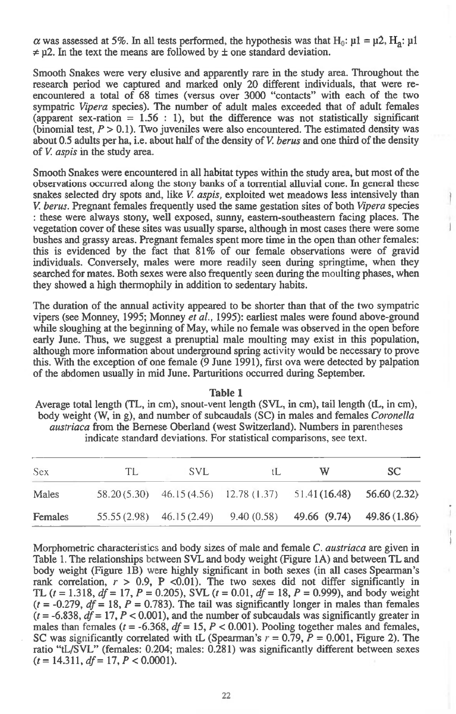$\alpha$  was assessed at 5%. In all tests performed, the hypothesis was that H<sub>0</sub>:  $\mu$ 1 =  $\mu$ 2, H<sub>2</sub>:  $\mu$ 1  $\neq$  u2. In the text the means are followed by  $\pm$  one standard deviation.

**Smooth Snakes were very elusive and apparently rare in the study area. Throughout the research period we captured and marked only 20 different individuals, that were reencountered a total of 68 times (versus over 3000 "contacts" with each of the two sympatric** *Vipera* **species). The number of adult males exceeded that of adult females**  (apparent sex-ration  $= 1.56 \div 1$ ), but the difference was not statistically significant **(binomial test,** *P >* **0.1). Two juveniles were also encountered. The estimated density was about 0.5 adults per ha, i.e. about half of the density of** *V. berus* **and one third of the density of** *V. aspis in* **the study area.** 

**Smooth Snakes were encountered in all habitat types within the study area, but most of the observations occurred along the stony banks of a torrential alluvial cone. In general these snakes selected dry spots and, like** *V. aspis,* **exploited wet meadows less intensively than**  *V. berus.* **Pregnant females frequently used the same gestation sites of both** *Vipera* **species : these were always stony, well exposed, sunny, eastern-southeastern facing places. The vegetation cover of these sites was usually sparse, although in most cases there were some bushes and grassy areas. Pregnant females spent more time in the open than other females: this is evidenced by the fact that 81% of our female observations were of gravid individuals. Conversely, males were more readily seen during springtime, when they searched for mates. Both sexes were also frequently seen during the moulting phases, when they showed a high thermophily in addition to sedentary habits.** 

**The duration of the annual activity appeared to be shorter than that of the two sympatric vipers (see Monney, 1995; Monney** *et al.,* **1995): earliest males were found above-ground while sloughing at the beginning of May, while no female was observed in the open before early June. Thus, we suggest a prenuptial male moulting may exist in this population, although more information about underground spring activity would be necessary to prove this. With the exception of one female (9 June 1991), first ova were detected by palpation of the abdomen usually in mid June. Parturitions occurred during September.** 

**Table 1 Average total length (TL, in cm), snout-vent length (SVL, in cm), tail length (tL, in cm), body weight (W, in g), and number of subcaudals (SC) in males and females** *Coronella austriaca* **from the Bernese Oberland (west Switzerland). Numbers in parentheses indicate standard deviations. For statistical comparisons, see text.** 

| Sex     | TL. | <b>SVL</b> | ιL | W                                                                      | SC. |
|---------|-----|------------|----|------------------------------------------------------------------------|-----|
| Males   |     |            |    | $58.20(5.30)$ $46.15(4.56)$ $12.78(1.37)$ $51.41(16.48)$ $56.60(2.32)$ |     |
| Females |     |            |    | $55.55(2.98)$ $46.15(2.49)$ $9.40(0.58)$ $49.66(9.74)$ $49.86(1.86)$   |     |

 $\frac{1}{4}$ 

**Morphometric characteristics and body sizes of male and female C.** *austriaca* **are given in Table 1. The relationships between SVL and body weight (Figure 1A) and between TL and body weight (Figure 1B) were highly significant in both sexes (in all cases Spearman's**  rank correlation,  $r > 0.9$ , P <0.01). The two sexes did not differ significantly in **TL**  $(t = 1.318, df = 17, P = 0.205)$ , SVL  $(t = 0.01, df = 18, P = 0.999)$ , and body weight  $(t = -0.279, df = 18, P = 0.783)$ . The tail was significantly longer in males than females  $(t = -6.838, df = 17, P < 0.001)$ , and the number of subcaudals was significantly greater in males than females  $(t = -6.368, df = 15, P < 0.001)$ . Pooling together males and females, **SC** was significantly correlated with tL (Spearman's  $r = 0.79$ ,  $P = 0.001$ , Figure 2). The **ratio "tL/SVL" (females: 0.204; males: 0.281) was significantly different between sexes**  *(t=* **14.311,** *df =17, P <* **0.0001).**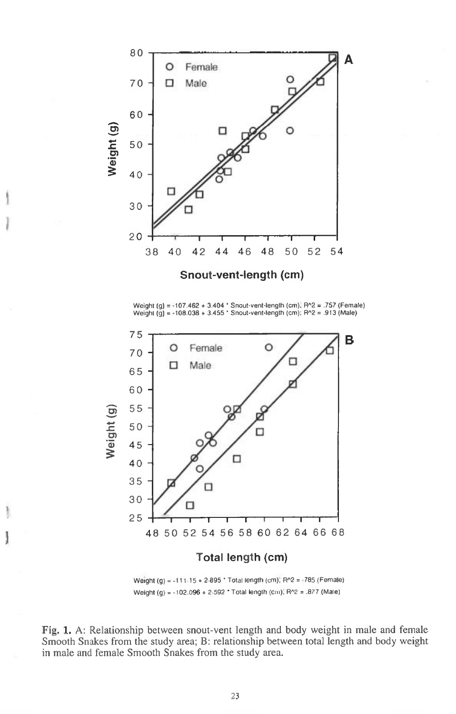

Weight (g) = -107.462 + 3.404 ' Snout-vent-length (cm). F1.2 = .757 (Female) Weight (g) = -108.038 + 3.455 • Snout-vent-length (cm); F1"2 = .913 (Male)



1111

Ħ

Weight (g) =  $-111.15 + 2.895$  \* Total length (cm), R^2 =  $-785$  (Female) Weight (g) = -102.096 + 2.592 ' Total length (cm); R^2 = .877 (Male)

Fig. 1. A: Relationship between snout-vent length and body weight in male and female Smooth Snakes from the study area; B: relationship between total length and body weight in male and female Smooth Snakes from the study area.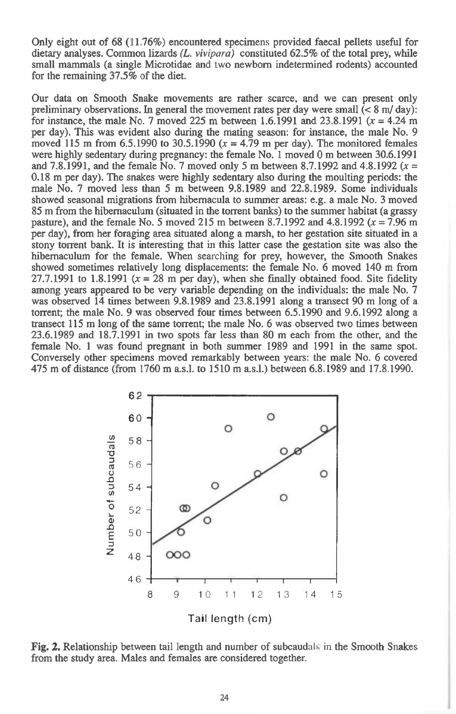Only eight out of 68 (11.76%) encountered specimens provided faecal pellets useful for dietary analyses. Common lizards *(L. vivipara)* constituted 62.5% of the total prey, while small mammals (a single Microtidae and two newborn indetermined rodents) accounted for the remaining 37.5% of the diet.

Our data on Smooth Snake movements are rather scarce, and we can present only preliminary observations. In general the movement rates per day were small  $(< 8 \text{ m/day})$ : for instance, the male No. 7 moved 225 m between 1.6.1991 and 23.8.1991 ( $x = 4.24$  m per day). This was evident also during the mating season: for instance, the male No. 9 moved 115 m from 6.5.1990 to 30.5.1990 *(x =* 4.79 m per day). The monitored females were highly sedentary during pregnancy: the female No. **1** moved 0 m between 30.6.1991 and 7.8.1991, and the female No. 7 moved only 5 m between 8.7.1992 and 4.8.1992 *(x =*  0.18 m per day). The snakes were highly sedentary also during the moulting periods: the male No. 7 moved less than 5 m between 9.8.1989 and 22.8.1989. Some individuals showed seasonal migrations from hibernacula to summer areas: e.g. a male No. 3 moved 85 m from the hibemaculum (situated in the torrent banks) to the summer habitat (a grassy pasture), and the female No. 5 moved 215 m between 8.7.1992 and 4.8.1992  $(x = 7.96 \text{ m})$ per day), from her foraging area situated along a marsh, to her gestation site situated in a stony torrent bank. **It** is interesting that in this latter case the gestation site was also the hibemaculum for the female. When searching for prey, however, the Smooth Snakes showed sometimes relatively long displacements: the female No. 6 moved 140 m from 27.7.1991 to 1.8.1991  $(x = 28 \text{ m per day})$ , when she finally obtained food. Site fidelity among years appeared to be very variable depending on the individuals: the male No. 7 was observed 14 times between 9.8.1989 and 23.8.1991 along a transect 90 m long of a torrent; the male No. 9 was observed four times between 6.5.1990 and 9.6.1992 along a transect 115 m long of the same torrent; the male No. 6 was observed two times between 23.6.1989 and 18.7.1991 in two spots far less than 80 m each from the other, and the female No. 1 was found pregnant in both summer 1989 and 1991 in the same spot. Conversely other specimens moved remarkably between years: the male No. 6 covered 475 m of distance (from 1760 m a.s.l. to 1510 m a.s.l.) between 6.8.1989 and 17.8.1990.



**Fig. 2.** Relationship between tail length and number of subcaudals in the Smooth Snakes from the study area. Males and females are considered together.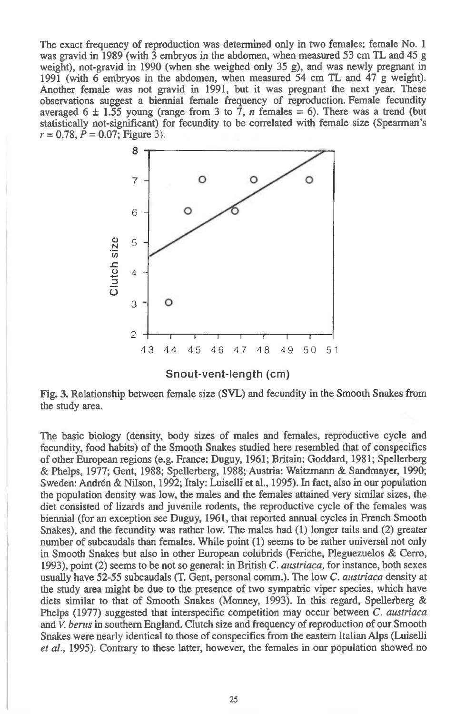The exact frequency of reproduction was determined only in two females: female No. 1 was gravid in 1989 (with 3 embryos in the abdomen, when measured 53 cm TL and 45 g weight), not-gravid in 1990 (when she weighed only 35 g), and was newly pregnant in 1991 (with 6 embryos in the abdomen, when measured 54 cm TL and 47 g weight). Another female was not gravid in 1991, but it was pregnant the next year. These observations suggest a biennial female frequency of reproduction. Female fecundity averaged 6  $\pm$  1.55 young (range from 3 to 7, *n* females = 6). There was a trend (but statistically not-significant) for fecundity to be correlated with female size (Spearman's *r =* 0.78, *P =* 0.07; Figure 3).



Snout-vent-length (cm)

Fig. 3. Relationship between female size (SVL) and fecundity in the Smooth Snakes from the study area.

The basic biology (density, body sizes of males and females, reproductive cycle and fecundity, food habits) of the Smooth Snakes studied here resembled that of conspecifics of other European regions (e.g. France: Duguy, 1961; Britain: Goddard, 1981; Spellerberg & Phelps, 1977; Gent, 1988; Spellerberg, 1988; Austria: Waitzmann & Sandmayer, 1990; Sweden: Andren & Nilson, 1992; Italy: Luiselli et al., 1995). In fact, also in our population the population density was low, the males and the females attained very similar sizes, the diet consisted of lizards and juvenile rodents, the reproductive cycle of the females was biennial (for an exception see Duguy, 1961, that reported annual cycles in French Smooth Snakes), and the fecundity was rather low. The males had (1) longer tails and (2) greater number of subcaudals than females. While point (1) seems to be rather universal not only in Smooth Snakes but also in other European colubrids (Feriche, Pleguezuelos & Cerro, 1993), point (2) seems to be not so general: in British *C. austriaca,* for instance, both sexes usually have 52-55 subcaudals (T. Gent, personal comm.). The low *C. austriaca* density at the study area might be due to the presence of two sympatric viper species, which have diets similar to that of Smooth Snakes (Monney, 1993). In this regard, Spellerberg & Phelps (1977) suggested that interspecific competition may occur between *C. austriaca*  and *V. berus* in southern England. Clutch size and frequency of reproduction of our Smooth Snakes were nearly identical to those of conspecifics from the eastern Italian Alps (Luiselli *et al.,* 1995). Contrary to these latter, however, the females in our population showed no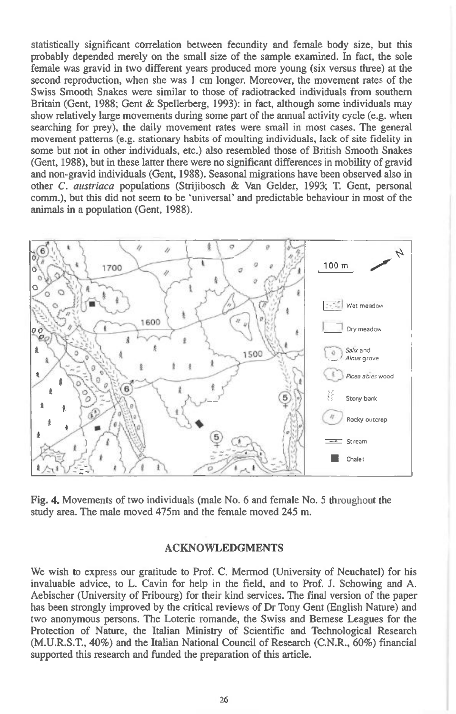statistically significant correlation between fecundity and female body size, but this probably depended merely on the small size of the sample examined. In fact, the sole female was gravid in two different years produced more young (six versus three) at the second reproduction, when she was 1 cm longer. Moreover, the movement rates of the Swiss Smooth Snakes were similar to those of radiotracked individuals from southern Britain (Gent, 1988; Gent & Spellerberg, 1993): in fact, although some individuals may show relatively large movements during some part of the annual activity cycle (e.g. when searching for prey), the daily movement rates were small in most cases. The general movement patterns (e.g. stationary habits of moulting individuals, lack of site fidelity in some but not in other individuals, etc.) also resembled those of British Smooth Snakes (Gent, 1988), but in these latter there were no significant differences in mobility of gravid and non-gravid individuals (Gent, 1988). Seasonal migrations have been observed also in other *C. austriaca* populations (Strijibosch & Van Gelder, 1993; T. Gent, personal comm.), but this did not seem to be 'universal' and predictable behaviour in most of the animals in a population (Gent, 1988).



**Fig. 4.** Movements of two individuals (male No. 6 and female No. 5 throughout the study area. The male moved 475m and the female moved 245 m.

## **ACKNOWLEDGMENTS**

We wish to express our gratitude to Prof. C. Mermod (University of Neuchatel) for his invaluable advice, to L. Cavin for help **in** the field, and to Prof. J. Schowing and A. Aebischer (University of Fribourg) for their kind services. The final version of the paper has been strongly improved by the critical reviews of Dr Tony Gent (English Nature) and two anonymous persons. The Loterie romande, the Swiss and Bernese Leagues for the Protection of Nature, the Italian Ministry of Scientific and Technological Research (M.U.R.S.T., 40%) and the Italian National Council of Research (C.N.R., 60%) financial supported this research and funded the preparation of this article.